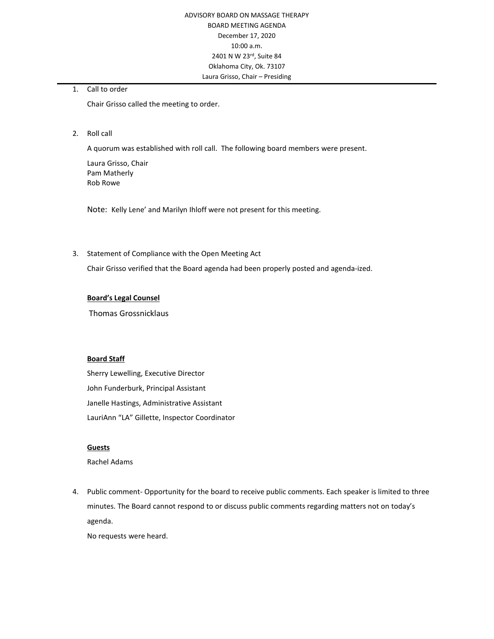1. Call to order

Chair Grisso called the meeting to order.

2. Roll call

A quorum was established with roll call. The following board members were present.

Laura Grisso, Chair Pam Matherly Rob Rowe

Note: Kelly Lene' and Marilyn Ihloff were not present for this meeting.

3. Statement of Compliance with the Open Meeting Act

Chair Grisso verified that the Board agenda had been properly posted and agenda-ized.

## **Board's Legal Counsel**

Thomas Grossnicklaus

## **Board Staff**

Sherry Lewelling, Executive Director John Funderburk, Principal Assistant Janelle Hastings, Administrative Assistant LauriAnn "LA" Gillette, Inspector Coordinator

## **Guests**

Rachel Adams

4. Public comment- Opportunity for the board to receive public comments. Each speaker is limited to three minutes. The Board cannot respond to or discuss public comments regarding matters not on today's agenda.

No requests were heard.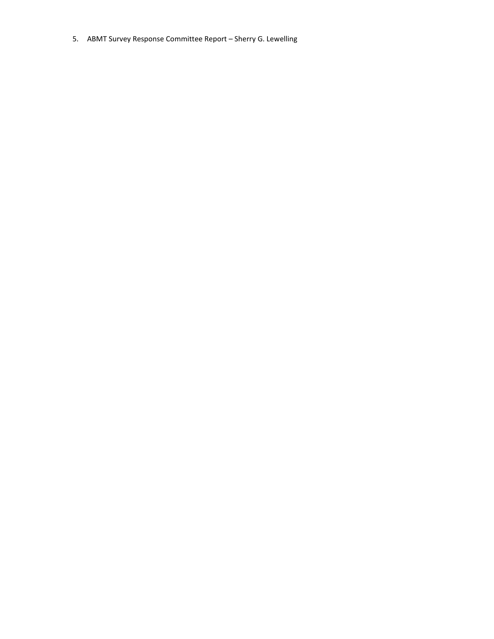5. ABMT Survey Response Committee Report – Sherry G. Lewelling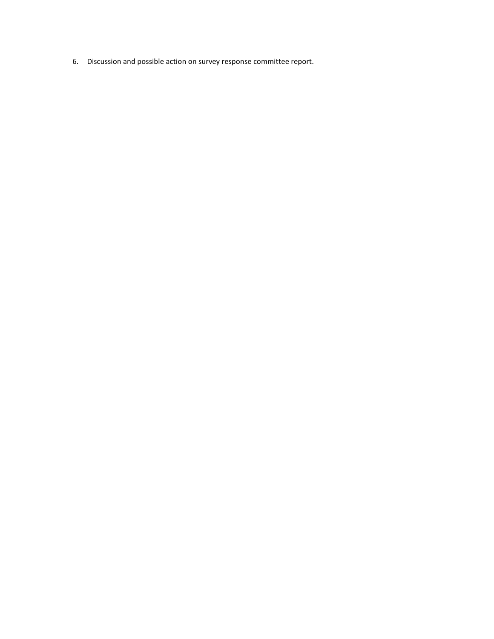6. Discussion and possible action on survey response committee report.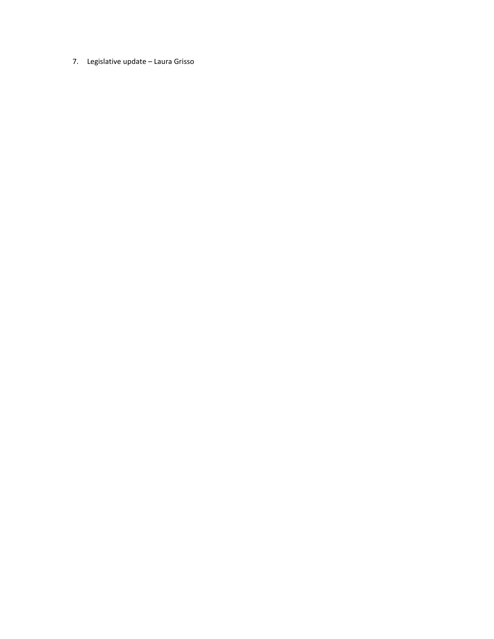7. Legislative update – Laura Grisso